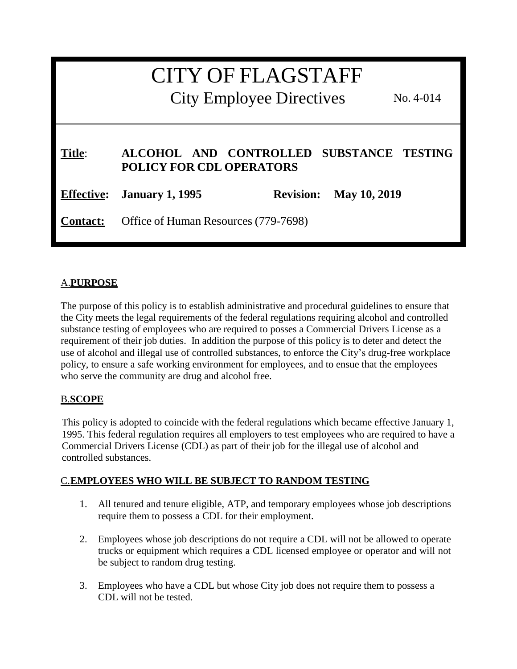| <b>CITY OF FLAGSTAFF</b><br><b>City Employee Directives</b><br>$No. 4-014$ |                                                                             |                  |                     |
|----------------------------------------------------------------------------|-----------------------------------------------------------------------------|------------------|---------------------|
| Title:                                                                     | ALCOHOL AND CONTROLLED SUBSTANCE TESTING<br><b>POLICY FOR CDL OPERATORS</b> |                  |                     |
| <b>Effective:</b>                                                          | <b>January 1, 1995</b>                                                      | <b>Revision:</b> | <b>May 10, 2019</b> |
| <b>Contact:</b>                                                            | Office of Human Resources (779-7698)                                        |                  |                     |

# A.**PURPOSE**

The purpose of this policy is to establish administrative and procedural guidelines to ensure that the City meets the legal requirements of the federal regulations requiring alcohol and controlled substance testing of employees who are required to posses a Commercial Drivers License as a requirement of their job duties. In addition the purpose of this policy is to deter and detect the use of alcohol and illegal use of controlled substances, to enforce the City's drug-free workplace policy, to ensure a safe working environment for employees, and to ensue that the employees who serve the community are drug and alcohol free.

# B.**SCOPE**

This policy is adopted to coincide with the federal regulations which became effective January 1, 1995. This federal regulation requires all employers to test employees who are required to have a Commercial Drivers License (CDL) as part of their job for the illegal use of alcohol and controlled substances.

#### C.**EMPLOYEES WHO WILL BE SUBJECT TO RANDOM TESTING**

- 1. All tenured and tenure eligible, ATP, and temporary employees whose job descriptions require them to possess a CDL for their employment.
- 2. Employees whose job descriptions do not require a CDL will not be allowed to operate trucks or equipment which requires a CDL licensed employee or operator and will not be subject to random drug testing.
- 3. Employees who have a CDL but whose City job does not require them to possess a CDL will not be tested.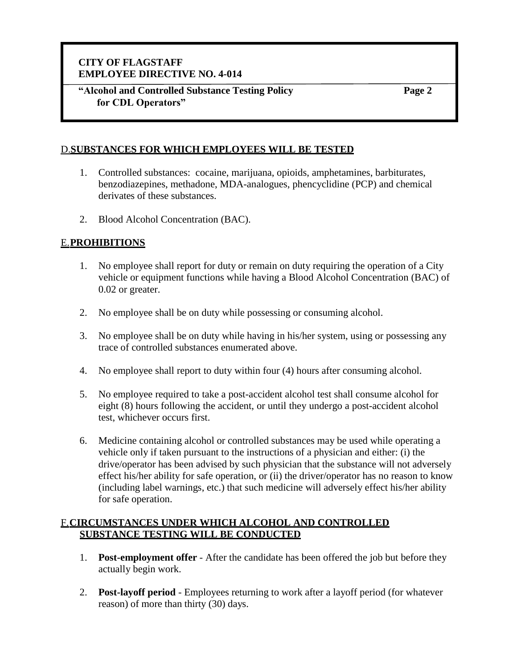**"Alcohol and Controlled Substance Testing Policy for CDL Operators"**

**Page 2**

### D.**SUBSTANCES FOR WHICH EMPLOYEES WILL BE TESTED**

- 1. Controlled substances: cocaine, marijuana, opioids, amphetamines, barbiturates, benzodiazepines, methadone, MDA-analogues, phencyclidine (PCP) and chemical derivates of these substances.
- 2. Blood Alcohol Concentration (BAC).

### E.**PROHIBITIONS**

- 1. No employee shall report for duty or remain on duty requiring the operation of a City vehicle or equipment functions while having a Blood Alcohol Concentration (BAC) of 0.02 or greater.
- 2. No employee shall be on duty while possessing or consuming alcohol.
- 3. No employee shall be on duty while having in his/her system, using or possessing any trace of controlled substances enumerated above.
- 4. No employee shall report to duty within four (4) hours after consuming alcohol.
- 5. No employee required to take a post-accident alcohol test shall consume alcohol for eight (8) hours following the accident, or until they undergo a post-accident alcohol test, whichever occurs first.
- 6. Medicine containing alcohol or controlled substances may be used while operating a vehicle only if taken pursuant to the instructions of a physician and either: (i) the drive/operator has been advised by such physician that the substance will not adversely effect his/her ability for safe operation, or (ii) the driver/operator has no reason to know (including label warnings, etc.) that such medicine will adversely effect his/her ability for safe operation.

#### F.**CIRCUMSTANCES UNDER WHICH ALCOHOL AND CONTROLLED SUBSTANCE TESTING WILL BE CONDUCTED**

- 1. **Post-employment offer** After the candidate has been offered the job but before they actually begin work.
- 2. **Post-layoff period** Employees returning to work after a layoff period (for whatever reason) of more than thirty (30) days.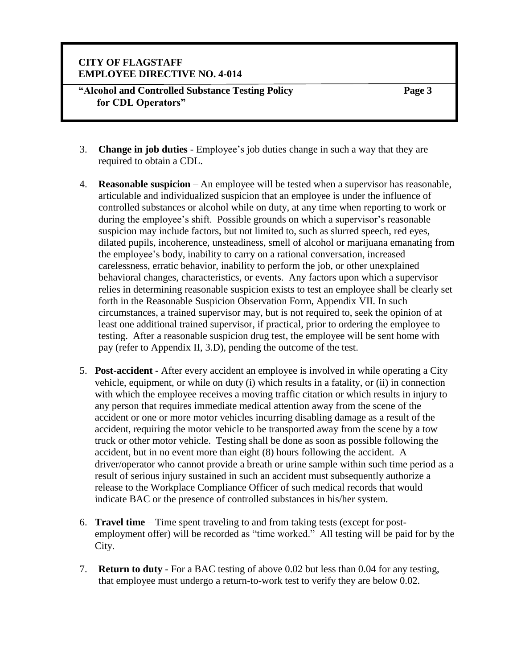**"Alcohol and Controlled Substance Testing Policy for CDL Operators"**

- 3. **Change in job duties**  Employee's job duties change in such a way that they are required to obtain a CDL.
- 4. **Reasonable suspicion** An employee will be tested when a supervisor has reasonable, articulable and individualized suspicion that an employee is under the influence of controlled substances or alcohol while on duty, at any time when reporting to work or during the employee's shift. Possible grounds on which a supervisor's reasonable suspicion may include factors, but not limited to, such as slurred speech, red eyes, dilated pupils, incoherence, unsteadiness, smell of alcohol or marijuana emanating from the employee's body, inability to carry on a rational conversation, increased carelessness, erratic behavior, inability to perform the job, or other unexplained behavioral changes, characteristics, or events. Any factors upon which a supervisor relies in determining reasonable suspicion exists to test an employee shall be clearly set forth in the Reasonable Suspicion Observation Form, Appendix VII. In such circumstances, a trained supervisor may, but is not required to, seek the opinion of at least one additional trained supervisor, if practical, prior to ordering the employee to testing. After a reasonable suspicion drug test, the employee will be sent home with pay (refer to Appendix II, 3.D), pending the outcome of the test.
- 5. **Post-accident -** After every accident an employee is involved in while operating a City vehicle, equipment, or while on duty (i) which results in a fatality, or (ii) in connection with which the employee receives a moving traffic citation or which results in injury to any person that requires immediate medical attention away from the scene of the accident or one or more motor vehicles incurring disabling damage as a result of the accident, requiring the motor vehicle to be transported away from the scene by a tow truck or other motor vehicle. Testing shall be done as soon as possible following the accident, but in no event more than eight (8) hours following the accident. A driver/operator who cannot provide a breath or urine sample within such time period as a result of serious injury sustained in such an accident must subsequently authorize a release to the Workplace Compliance Officer of such medical records that would indicate BAC or the presence of controlled substances in his/her system.
- 6. **Travel time** Time spent traveling to and from taking tests (except for postemployment offer) will be recorded as "time worked." All testing will be paid for by the City.
- 7. **Return to duty**  For a BAC testing of above 0.02 but less than 0.04 for any testing, that employee must undergo a return-to-work test to verify they are below 0.02.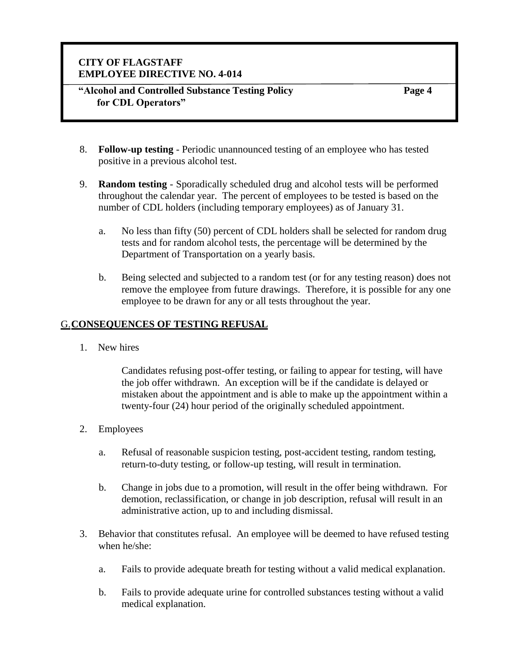#### **"Alcohol and Controlled Substance Testing Policy for CDL Operators"**

**Page 4**

- 8. **Follow-up testing**  Periodic unannounced testing of an employee who has tested positive in a previous alcohol test.
- 9. **Random testing** Sporadically scheduled drug and alcohol tests will be performed throughout the calendar year. The percent of employees to be tested is based on the number of CDL holders (including temporary employees) as of January 31.
	- a. No less than fifty (50) percent of CDL holders shall be selected for random drug tests and for random alcohol tests, the percentage will be determined by the Department of Transportation on a yearly basis.
	- b. Being selected and subjected to a random test (or for any testing reason) does not remove the employee from future drawings. Therefore, it is possible for any one employee to be drawn for any or all tests throughout the year.

### G.**CONSEQUENCES OF TESTING REFUSAL**

1. New hires

Candidates refusing post-offer testing, or failing to appear for testing, will have the job offer withdrawn. An exception will be if the candidate is delayed or mistaken about the appointment and is able to make up the appointment within a twenty-four (24) hour period of the originally scheduled appointment.

- 2. Employees
	- a. Refusal of reasonable suspicion testing, post-accident testing, random testing, return-to-duty testing, or follow-up testing, will result in termination.
	- b. Change in jobs due to a promotion, will result in the offer being withdrawn. For demotion, reclassification, or change in job description, refusal will result in an administrative action, up to and including dismissal.
- 3. Behavior that constitutes refusal. An employee will be deemed to have refused testing when he/she:
	- a. Fails to provide adequate breath for testing without a valid medical explanation.
	- b. Fails to provide adequate urine for controlled substances testing without a valid medical explanation.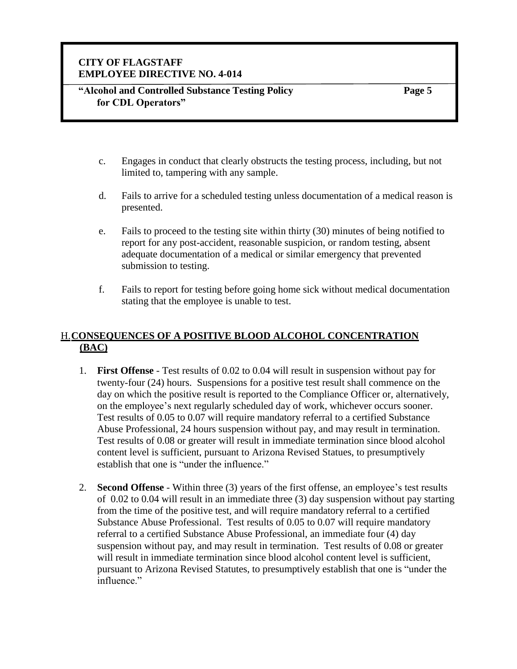**Page 5**

- c. Engages in conduct that clearly obstructs the testing process, including, but not limited to, tampering with any sample.
- d. Fails to arrive for a scheduled testing unless documentation of a medical reason is presented.
- e. Fails to proceed to the testing site within thirty (30) minutes of being notified to report for any post-accident, reasonable suspicion, or random testing, absent adequate documentation of a medical or similar emergency that prevented submission to testing.
- f. Fails to report for testing before going home sick without medical documentation stating that the employee is unable to test.

### H.**CONSEQUENCES OF A POSITIVE BLOOD ALCOHOL CONCENTRATION (BAC)**

- 1. **First Offense** Test results of 0.02 to 0.04 will result in suspension without pay for twenty-four (24) hours. Suspensions for a positive test result shall commence on the day on which the positive result is reported to the Compliance Officer or, alternatively, on the employee's next regularly scheduled day of work, whichever occurs sooner. Test results of 0.05 to 0.07 will require mandatory referral to a certified Substance Abuse Professional, 24 hours suspension without pay, and may result in termination. Test results of 0.08 or greater will result in immediate termination since blood alcohol content level is sufficient, pursuant to Arizona Revised Statues, to presumptively establish that one is "under the influence."
- 2. **Second Offense**  Within three (3) years of the first offense, an employee's test results of 0.02 to 0.04 will result in an immediate three (3) day suspension without pay starting from the time of the positive test, and will require mandatory referral to a certified Substance Abuse Professional. Test results of 0.05 to 0.07 will require mandatory referral to a certified Substance Abuse Professional, an immediate four (4) day suspension without pay, and may result in termination. Test results of 0.08 or greater will result in immediate termination since blood alcohol content level is sufficient, pursuant to Arizona Revised Statutes, to presumptively establish that one is "under the influence."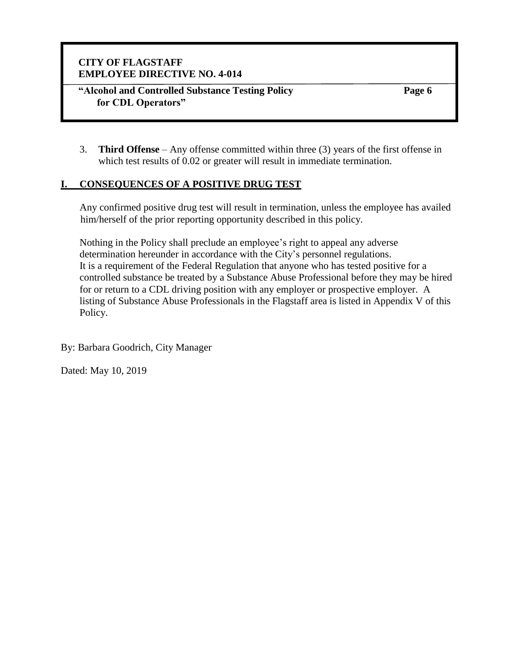**"Alcohol and Controlled Substance Testing Policy for CDL Operators"**

**Page 6**

3. **Third Offense** – Any offense committed within three (3) years of the first offense in which test results of 0.02 or greater will result in immediate termination.

### **I. CONSEQUENCES OF A POSITIVE DRUG TEST**

Any confirmed positive drug test will result in termination, unless the employee has availed him/herself of the prior reporting opportunity described in this policy.

Nothing in the Policy shall preclude an employee's right to appeal any adverse determination hereunder in accordance with the City's personnel regulations. It is a requirement of the Federal Regulation that anyone who has tested positive for a controlled substance be treated by a Substance Abuse Professional before they may be hired for or return to a CDL driving position with any employer or prospective employer. A listing of Substance Abuse Professionals in the Flagstaff area is listed in Appendix V of this Policy.

By: Barbara Goodrich, City Manager

Dated: May 10, 2019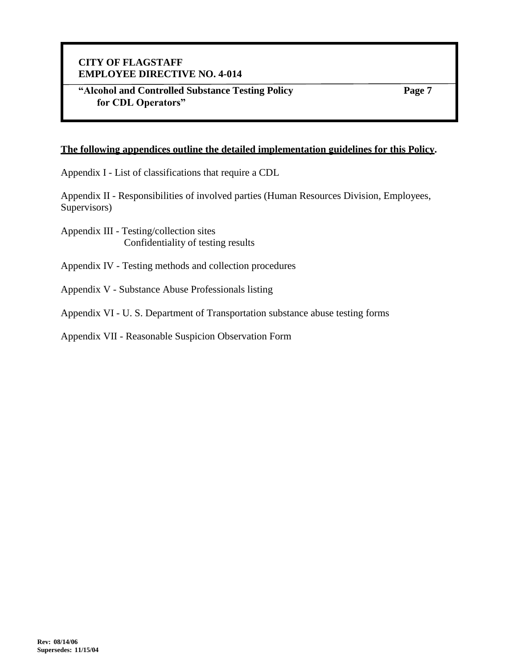**"Alcohol and Controlled Substance Testing Policy for CDL Operators"**

**Page 7**

#### **The following appendices outline the detailed implementation guidelines for this Policy.**

Appendix I - List of classifications that require a CDL

Appendix II - Responsibilities of involved parties (Human Resources Division, Employees, Supervisors)

- Appendix III Testing/collection sites Confidentiality of testing results
- Appendix IV Testing methods and collection procedures
- Appendix V Substance Abuse Professionals listing
- Appendix VI U. S. Department of Transportation substance abuse testing forms

Appendix VII - Reasonable Suspicion Observation Form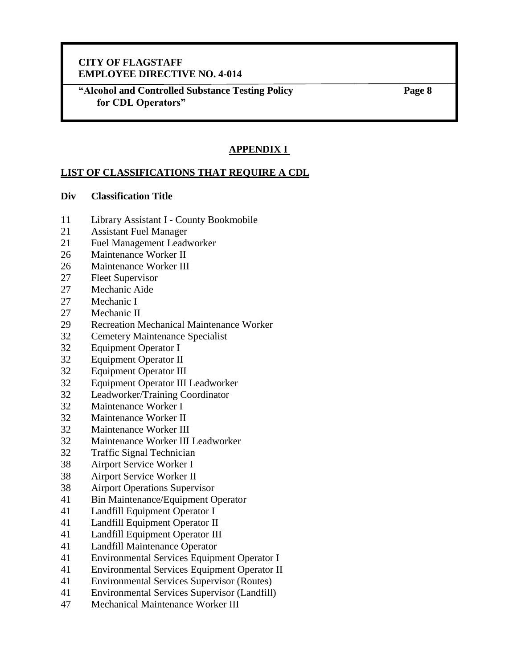**"Alcohol and Controlled Substance Testing Policy for CDL Operators"**

**Page 8**

# **APPENDIX I**

#### **LIST OF CLASSIFICATIONS THAT REQUIRE A CDL**

#### **Div Classification Title**

- Library Assistant I County Bookmobile
- Assistant Fuel Manager
- Fuel Management Leadworker
- Maintenance Worker II
- Maintenance Worker III
- Fleet Supervisor
- Mechanic Aide
- Mechanic I
- Mechanic II
- Recreation Mechanical Maintenance Worker
- Cemetery Maintenance Specialist
- Equipment Operator I
- Equipment Operator II
- Equipment Operator III
- Equipment Operator III Leadworker
- Leadworker/Training Coordinator
- Maintenance Worker I
- Maintenance Worker II
- Maintenance Worker III
- Maintenance Worker III Leadworker
- Traffic Signal Technician
- Airport Service Worker I
- Airport Service Worker II
- Airport Operations Supervisor
- Bin Maintenance/Equipment Operator
- Landfill Equipment Operator I
- Landfill Equipment Operator II
- Landfill Equipment Operator III
- Landfill Maintenance Operator
- Environmental Services Equipment Operator I
- Environmental Services Equipment Operator II
- Environmental Services Supervisor (Routes)
- Environmental Services Supervisor (Landfill)
- Mechanical Maintenance Worker III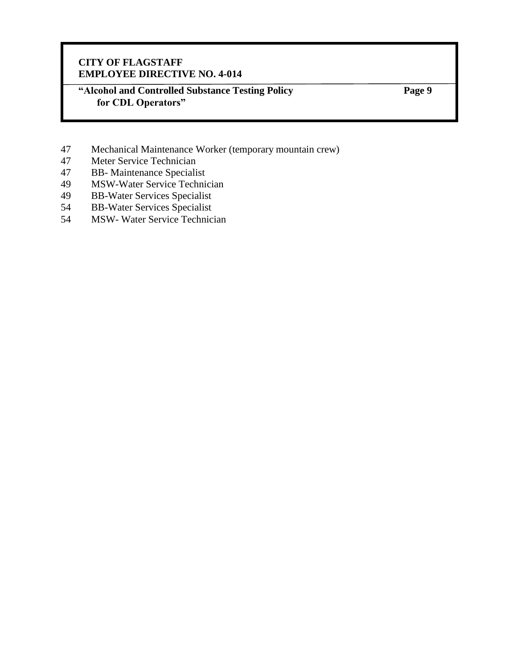**"Alcohol and Controlled Substance Testing Policy for CDL Operators"**

- 47 Mechanical Maintenance Worker (temporary mountain crew)<br>47 Meter Service Technician
- Meter Service Technician
- 47 BB- Maintenance Specialist
- 49 MSW-Water Service Technician
- 49 BB-Water Services Specialist
- 54 BB-Water Services Specialist<br>54 MSW-Water Service Technic
- MSW- Water Service Technician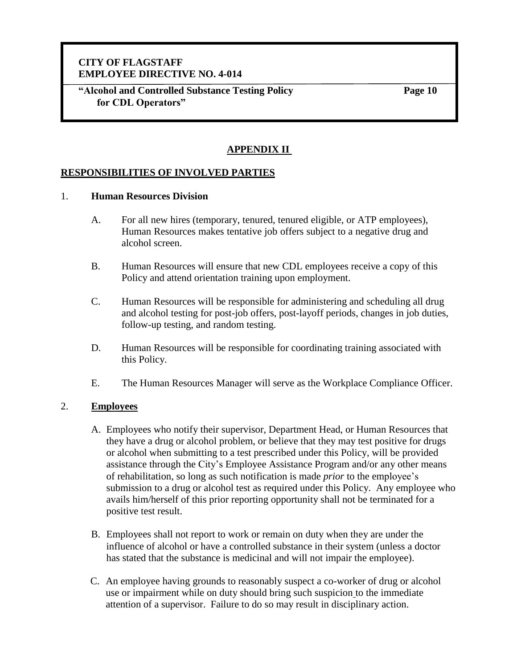**"Alcohol and Controlled Substance Testing Policy for CDL Operators"**

**Page 10**

### **APPENDIX II**

#### **RESPONSIBILITIES OF INVOLVED PARTIES**

#### 1. **Human Resources Division**

- A. For all new hires (temporary, tenured, tenured eligible, or ATP employees), Human Resources makes tentative job offers subject to a negative drug and alcohol screen.
- B. Human Resources will ensure that new CDL employees receive a copy of this Policy and attend orientation training upon employment.
- C. Human Resources will be responsible for administering and scheduling all drug and alcohol testing for post-job offers, post-layoff periods, changes in job duties, follow-up testing, and random testing.
- D. Human Resources will be responsible for coordinating training associated with this Policy.
- E. The Human Resources Manager will serve as the Workplace Compliance Officer.

#### 2. **Employees**

- A. Employees who notify their supervisor, Department Head, or Human Resources that they have a drug or alcohol problem, or believe that they may test positive for drugs or alcohol when submitting to a test prescribed under this Policy, will be provided assistance through the City's Employee Assistance Program and/or any other means of rehabilitation, so long as such notification is made *prior* to the employee's submission to a drug or alcohol test as required under this Policy. Any employee who avails him/herself of this prior reporting opportunity shall not be terminated for a positive test result.
- B. Employees shall not report to work or remain on duty when they are under the influence of alcohol or have a controlled substance in their system (unless a doctor has stated that the substance is medicinal and will not impair the employee).
- C. An employee having grounds to reasonably suspect a co-worker of drug or alcohol use or impairment while on duty should bring such suspicion to the immediate attention of a supervisor. Failure to do so may result in disciplinary action.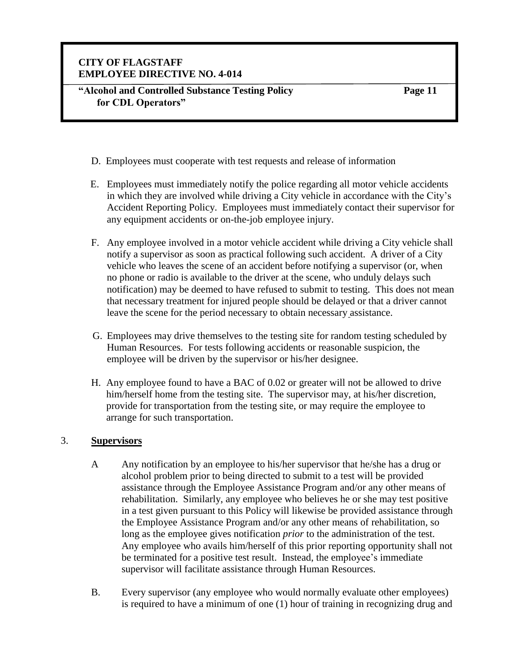- D. Employees must cooperate with test requests and release of information
- E. Employees must immediately notify the police regarding all motor vehicle accidents in which they are involved while driving a City vehicle in accordance with the City's Accident Reporting Policy. Employees must immediately contact their supervisor for any equipment accidents or on-the-job employee injury.
- F. Any employee involved in a motor vehicle accident while driving a City vehicle shall notify a supervisor as soon as practical following such accident. A driver of a City vehicle who leaves the scene of an accident before notifying a supervisor (or, when no phone or radio is available to the driver at the scene, who unduly delays such notification) may be deemed to have refused to submit to testing. This does not mean that necessary treatment for injured people should be delayed or that a driver cannot leave the scene for the period necessary to obtain necessary assistance.
- G. Employees may drive themselves to the testing site for random testing scheduled by Human Resources. For tests following accidents or reasonable suspicion, the employee will be driven by the supervisor or his/her designee.
- H. Any employee found to have a BAC of 0.02 or greater will not be allowed to drive him/herself home from the testing site. The supervisor may, at his/her discretion, provide for transportation from the testing site, or may require the employee to arrange for such transportation.

#### 3. **Supervisors**

- A Any notification by an employee to his/her supervisor that he/she has a drug or alcohol problem prior to being directed to submit to a test will be provided assistance through the Employee Assistance Program and/or any other means of rehabilitation. Similarly, any employee who believes he or she may test positive in a test given pursuant to this Policy will likewise be provided assistance through the Employee Assistance Program and/or any other means of rehabilitation, so long as the employee gives notification *prior* to the administration of the test. Any employee who avails him/herself of this prior reporting opportunity shall not be terminated for a positive test result. Instead, the employee's immediate supervisor will facilitate assistance through Human Resources.
- B. Every supervisor (any employee who would normally evaluate other employees) is required to have a minimum of one (1) hour of training in recognizing drug and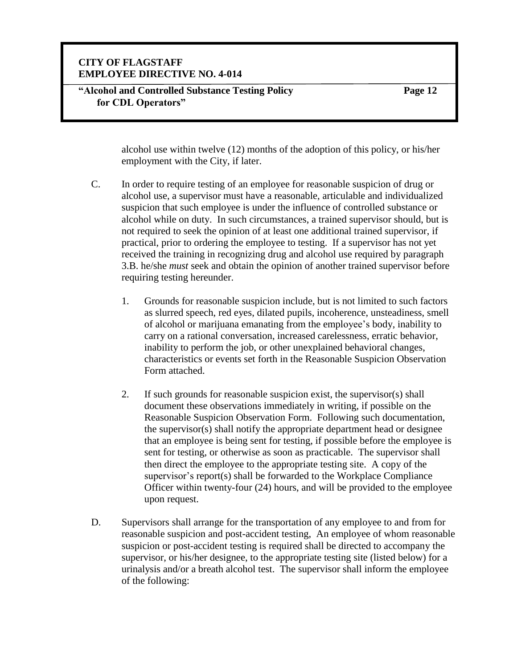#### **"Alcohol and Controlled Substance Testing Policy for CDL Operators"**

**Page 12**

alcohol use within twelve (12) months of the adoption of this policy, or his/her employment with the City, if later.

- C. In order to require testing of an employee for reasonable suspicion of drug or alcohol use, a supervisor must have a reasonable, articulable and individualized suspicion that such employee is under the influence of controlled substance or alcohol while on duty. In such circumstances, a trained supervisor should, but is not required to seek the opinion of at least one additional trained supervisor, if practical, prior to ordering the employee to testing. If a supervisor has not yet received the training in recognizing drug and alcohol use required by paragraph 3.B. he/she *must* seek and obtain the opinion of another trained supervisor before requiring testing hereunder.
	- 1. Grounds for reasonable suspicion include, but is not limited to such factors as slurred speech, red eyes, dilated pupils, incoherence, unsteadiness, smell of alcohol or marijuana emanating from the employee's body, inability to carry on a rational conversation, increased carelessness, erratic behavior, inability to perform the job, or other unexplained behavioral changes, characteristics or events set forth in the Reasonable Suspicion Observation Form attached.
	- 2. If such grounds for reasonable suspicion exist, the supervisor(s) shall document these observations immediately in writing, if possible on the Reasonable Suspicion Observation Form. Following such documentation, the supervisor(s) shall notify the appropriate department head or designee that an employee is being sent for testing, if possible before the employee is sent for testing, or otherwise as soon as practicable. The supervisor shall then direct the employee to the appropriate testing site. A copy of the supervisor's report(s) shall be forwarded to the Workplace Compliance Officer within twenty-four (24) hours, and will be provided to the employee upon request.
- D. Supervisors shall arrange for the transportation of any employee to and from for reasonable suspicion and post-accident testing, An employee of whom reasonable suspicion or post-accident testing is required shall be directed to accompany the supervisor, or his/her designee, to the appropriate testing site (listed below) for a urinalysis and/or a breath alcohol test. The supervisor shall inform the employee of the following: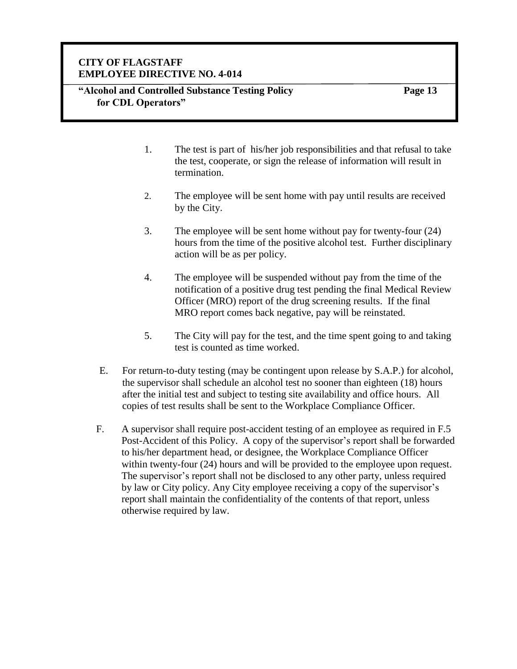#### **"Alcohol and Controlled Substance Testing Policy for CDL Operators"**

- 1. The test is part of his/her job responsibilities and that refusal to take the test, cooperate, or sign the release of information will result in termination.
- 2. The employee will be sent home with pay until results are received by the City.
- 3. The employee will be sent home without pay for twenty-four (24) hours from the time of the positive alcohol test. Further disciplinary action will be as per policy.
- 4. The employee will be suspended without pay from the time of the notification of a positive drug test pending the final Medical Review Officer (MRO) report of the drug screening results. If the final MRO report comes back negative, pay will be reinstated.
- 5. The City will pay for the test, and the time spent going to and taking test is counted as time worked.
- E. For return-to-duty testing (may be contingent upon release by S.A.P.) for alcohol, the supervisor shall schedule an alcohol test no sooner than eighteen (18) hours after the initial test and subject to testing site availability and office hours. All copies of test results shall be sent to the Workplace Compliance Officer.
- F. A supervisor shall require post-accident testing of an employee as required in F.5 Post-Accident of this Policy. A copy of the supervisor's report shall be forwarded to his/her department head, or designee, the Workplace Compliance Officer within twenty-four (24) hours and will be provided to the employee upon request. The supervisor's report shall not be disclosed to any other party, unless required by law or City policy. Any City employee receiving a copy of the supervisor's report shall maintain the confidentiality of the contents of that report, unless otherwise required by law.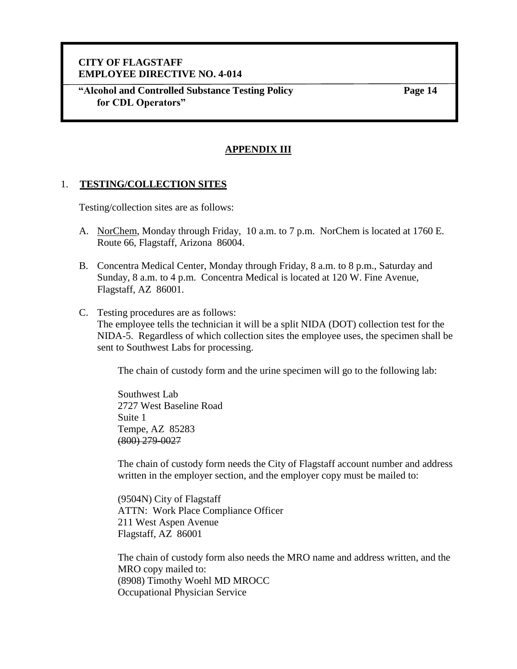**"Alcohol and Controlled Substance Testing Policy for CDL Operators"**

**Page 14**

#### **APPENDIX III**

#### 1. **TESTING/COLLECTION SITES**

Testing/collection sites are as follows:

- A. NorChem, Monday through Friday, 10 a.m. to 7 p.m. NorChem is located at 1760 E. Route 66, Flagstaff, Arizona 86004.
- B. Concentra Medical Center, Monday through Friday, 8 a.m. to 8 p.m., Saturday and Sunday, 8 a.m. to 4 p.m. Concentra Medical is located at 120 W. Fine Avenue, Flagstaff, AZ 86001.
- C. Testing procedures are as follows: The employee tells the technician it will be a split NIDA (DOT) collection test for the NIDA-5. Regardless of which collection sites the employee uses, the specimen shall be sent to Southwest Labs for processing.

The chain of custody form and the urine specimen will go to the following lab:

Southwest Lab 2727 West Baseline Road Suite 1 Tempe, AZ 85283 (800) 279-0027

The chain of custody form needs the City of Flagstaff account number and address written in the employer section, and the employer copy must be mailed to:

(9504N) City of Flagstaff ATTN: Work Place Compliance Officer 211 West Aspen Avenue Flagstaff, AZ 86001

The chain of custody form also needs the MRO name and address written, and the MRO copy mailed to: (8908) Timothy Woehl MD MROCC Occupational Physician Service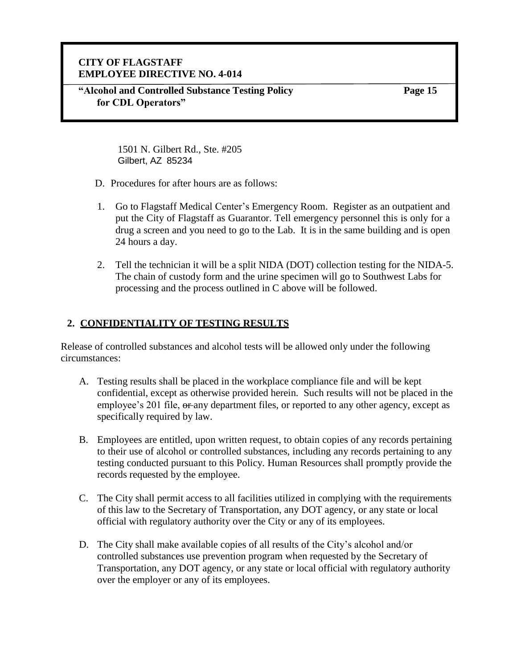**"Alcohol and Controlled Substance Testing Policy for CDL Operators"**

**Page 15**

1501 N. Gilbert Rd., Ste. #205 Gilbert, AZ 85234

- D. Procedures for after hours are as follows:
- 1. Go to Flagstaff Medical Center's Emergency Room. Register as an outpatient and put the City of Flagstaff as Guarantor. Tell emergency personnel this is only for a drug a screen and you need to go to the Lab. It is in the same building and is open 24 hours a day.
- 2. Tell the technician it will be a split NIDA (DOT) collection testing for the NIDA-5. The chain of custody form and the urine specimen will go to Southwest Labs for processing and the process outlined in C above will be followed.

# **2. CONFIDENTIALITY OF TESTING RESULTS**

Release of controlled substances and alcohol tests will be allowed only under the following circumstances:

- A. Testing results shall be placed in the workplace compliance file and will be kept confidential, except as otherwise provided herein. Such results will not be placed in the employee's 201 file,  $\theta$ any department files, or reported to any other agency, except as specifically required by law.
- B. Employees are entitled, upon written request, to obtain copies of any records pertaining to their use of alcohol or controlled substances, including any records pertaining to any testing conducted pursuant to this Policy. Human Resources shall promptly provide the records requested by the employee.
- C. The City shall permit access to all facilities utilized in complying with the requirements of this law to the Secretary of Transportation, any DOT agency, or any state or local official with regulatory authority over the City or any of its employees.
- D. The City shall make available copies of all results of the City's alcohol and/or controlled substances use prevention program when requested by the Secretary of Transportation, any DOT agency, or any state or local official with regulatory authority over the employer or any of its employees.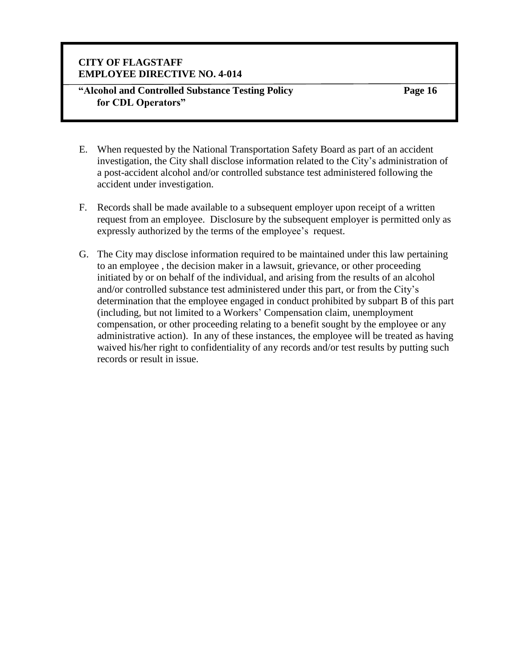#### **"Alcohol and Controlled Substance Testing Policy for CDL Operators"**

- E. When requested by the National Transportation Safety Board as part of an accident investigation, the City shall disclose information related to the City's administration of a post-accident alcohol and/or controlled substance test administered following the accident under investigation.
- F. Records shall be made available to a subsequent employer upon receipt of a written request from an employee. Disclosure by the subsequent employer is permitted only as expressly authorized by the terms of the employee's request.
- G. The City may disclose information required to be maintained under this law pertaining to an employee , the decision maker in a lawsuit, grievance, or other proceeding initiated by or on behalf of the individual, and arising from the results of an alcohol and/or controlled substance test administered under this part, or from the City's determination that the employee engaged in conduct prohibited by subpart B of this part (including, but not limited to a Workers' Compensation claim, unemployment compensation, or other proceeding relating to a benefit sought by the employee or any administrative action). In any of these instances, the employee will be treated as having waived his/her right to confidentiality of any records and/or test results by putting such records or result in issue.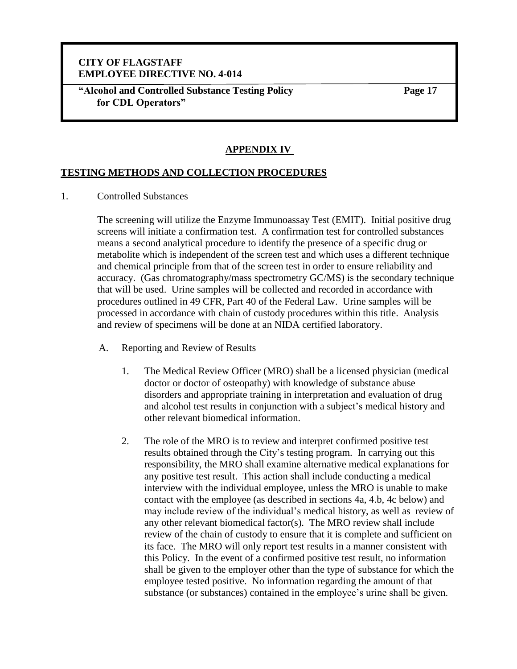**"Alcohol and Controlled Substance Testing Policy for CDL Operators"**

**Page 17**

#### **APPENDIX IV**

#### **TESTING METHODS AND COLLECTION PROCEDURES**

1. Controlled Substances

The screening will utilize the Enzyme Immunoassay Test (EMIT). Initial positive drug screens will initiate a confirmation test. A confirmation test for controlled substances means a second analytical procedure to identify the presence of a specific drug or metabolite which is independent of the screen test and which uses a different technique and chemical principle from that of the screen test in order to ensure reliability and accuracy. (Gas chromatography/mass spectrometry GC/MS) is the secondary technique that will be used. Urine samples will be collected and recorded in accordance with procedures outlined in 49 CFR, Part 40 of the Federal Law. Urine samples will be processed in accordance with chain of custody procedures within this title. Analysis and review of specimens will be done at an NIDA certified laboratory.

- A. Reporting and Review of Results
	- 1. The Medical Review Officer (MRO) shall be a licensed physician (medical doctor or doctor of osteopathy) with knowledge of substance abuse disorders and appropriate training in interpretation and evaluation of drug and alcohol test results in conjunction with a subject's medical history and other relevant biomedical information.
	- 2. The role of the MRO is to review and interpret confirmed positive test results obtained through the City's testing program. In carrying out this responsibility, the MRO shall examine alternative medical explanations for any positive test result. This action shall include conducting a medical interview with the individual employee, unless the MRO is unable to make contact with the employee (as described in sections 4a, 4.b, 4c below) and may include review of the individual's medical history, as well as review of any other relevant biomedical factor(s). The MRO review shall include review of the chain of custody to ensure that it is complete and sufficient on its face. The MRO will only report test results in a manner consistent with this Policy. In the event of a confirmed positive test result, no information shall be given to the employer other than the type of substance for which the employee tested positive. No information regarding the amount of that substance (or substances) contained in the employee's urine shall be given.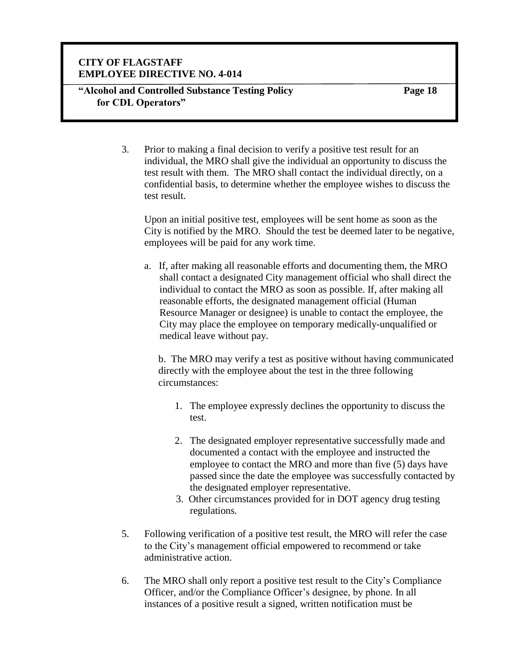**"Alcohol and Controlled Substance Testing Policy for CDL Operators"**

**Page 18**

3. Prior to making a final decision to verify a positive test result for an individual, the MRO shall give the individual an opportunity to discuss the test result with them. The MRO shall contact the individual directly, on a confidential basis, to determine whether the employee wishes to discuss the test result.

Upon an initial positive test, employees will be sent home as soon as the City is notified by the MRO. Should the test be deemed later to be negative, employees will be paid for any work time.

a. If, after making all reasonable efforts and documenting them, the MRO shall contact a designated City management official who shall direct the individual to contact the MRO as soon as possible. If, after making all reasonable efforts, the designated management official (Human Resource Manager or designee) is unable to contact the employee, the City may place the employee on temporary medically-unqualified or medical leave without pay.

b. The MRO may verify a test as positive without having communicated directly with the employee about the test in the three following circumstances:

- 1. The employee expressly declines the opportunity to discuss the test.
- 2. The designated employer representative successfully made and documented a contact with the employee and instructed the employee to contact the MRO and more than five (5) days have passed since the date the employee was successfully contacted by the designated employer representative.
- 3. Other circumstances provided for in DOT agency drug testing regulations.
- 5. Following verification of a positive test result, the MRO will refer the case to the City's management official empowered to recommend or take administrative action.
- 6. The MRO shall only report a positive test result to the City's Compliance Officer, and/or the Compliance Officer's designee, by phone. In all instances of a positive result a signed, written notification must be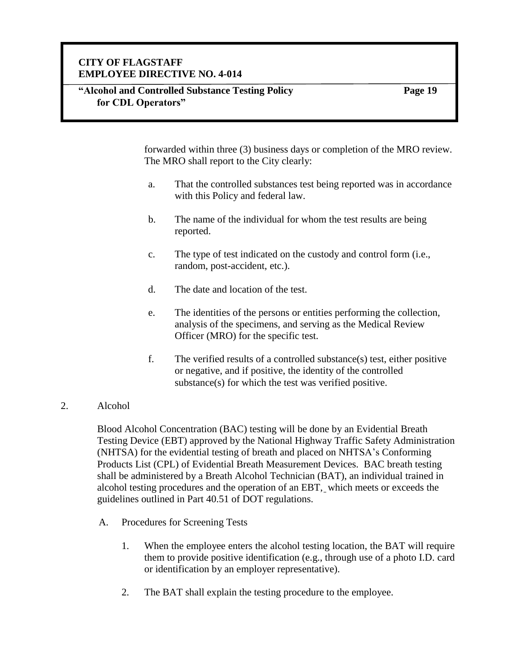#### **"Alcohol and Controlled Substance Testing Policy for CDL Operators"**

**Page 19**

forwarded within three (3) business days or completion of the MRO review. The MRO shall report to the City clearly:

- a. That the controlled substances test being reported was in accordance with this Policy and federal law.
- b. The name of the individual for whom the test results are being reported.
- c. The type of test indicated on the custody and control form (i.e., random, post-accident, etc.).
- d. The date and location of the test.
- e. The identities of the persons or entities performing the collection, analysis of the specimens, and serving as the Medical Review Officer (MRO) for the specific test.
- f. The verified results of a controlled substance(s) test, either positive or negative, and if positive, the identity of the controlled substance(s) for which the test was verified positive.

#### 2. Alcohol

Blood Alcohol Concentration (BAC) testing will be done by an Evidential Breath Testing Device (EBT) approved by the National Highway Traffic Safety Administration (NHTSA) for the evidential testing of breath and placed on NHTSA's Conforming Products List (CPL) of Evidential Breath Measurement Devices. BAC breath testing shall be administered by a Breath Alcohol Technician (BAT), an individual trained in alcohol testing procedures and the operation of an EBT, which meets or exceeds the guidelines outlined in Part 40.51 of DOT regulations.

- A. Procedures for Screening Tests
	- 1. When the employee enters the alcohol testing location, the BAT will require them to provide positive identification (e.g., through use of a photo I.D. card or identification by an employer representative).
	- 2. The BAT shall explain the testing procedure to the employee.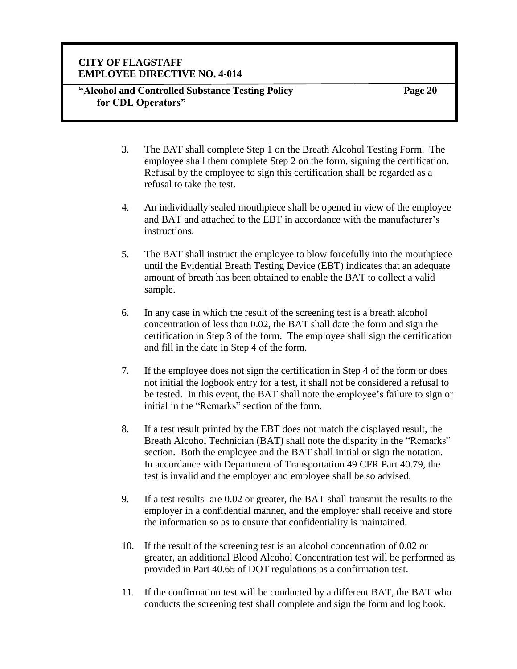#### **"Alcohol and Controlled Substance Testing Policy for CDL Operators"**

- 3. The BAT shall complete Step 1 on the Breath Alcohol Testing Form. The employee shall them complete Step 2 on the form, signing the certification. Refusal by the employee to sign this certification shall be regarded as a refusal to take the test.
- 4. An individually sealed mouthpiece shall be opened in view of the employee and BAT and attached to the EBT in accordance with the manufacturer's instructions.
- 5. The BAT shall instruct the employee to blow forcefully into the mouthpiece until the Evidential Breath Testing Device (EBT) indicates that an adequate amount of breath has been obtained to enable the BAT to collect a valid sample.
- 6. In any case in which the result of the screening test is a breath alcohol concentration of less than 0.02, the BAT shall date the form and sign the certification in Step 3 of the form. The employee shall sign the certification and fill in the date in Step 4 of the form.
- 7. If the employee does not sign the certification in Step 4 of the form or does not initial the logbook entry for a test, it shall not be considered a refusal to be tested. In this event, the BAT shall note the employee's failure to sign or initial in the "Remarks" section of the form.
- 8. If a test result printed by the EBT does not match the displayed result, the Breath Alcohol Technician (BAT) shall note the disparity in the "Remarks" section. Both the employee and the BAT shall initial or sign the notation. In accordance with Department of Transportation 49 CFR Part 40.79, the test is invalid and the employer and employee shall be so advised.
- 9. If a test results are 0.02 or greater, the BAT shall transmit the results to the employer in a confidential manner, and the employer shall receive and store the information so as to ensure that confidentiality is maintained.
- 10. If the result of the screening test is an alcohol concentration of 0.02 or greater, an additional Blood Alcohol Concentration test will be performed as provided in Part 40.65 of DOT regulations as a confirmation test.
- 11. If the confirmation test will be conducted by a different BAT, the BAT who conducts the screening test shall complete and sign the form and log book.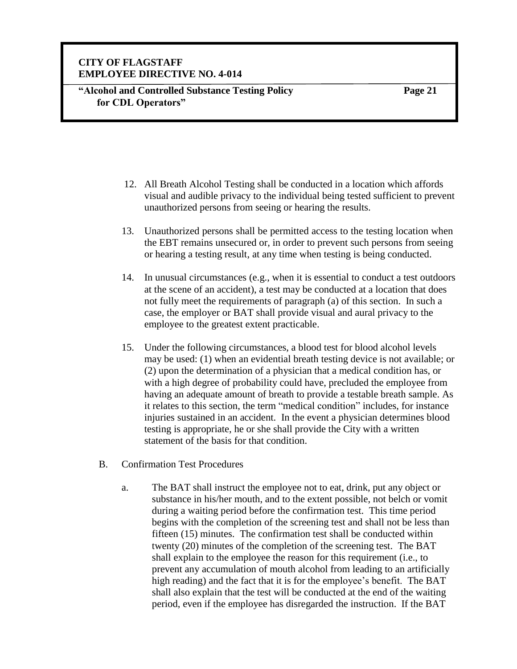**"Alcohol and Controlled Substance Testing Policy for CDL Operators"**

- 12. All Breath Alcohol Testing shall be conducted in a location which affords visual and audible privacy to the individual being tested sufficient to prevent unauthorized persons from seeing or hearing the results.
- 13. Unauthorized persons shall be permitted access to the testing location when the EBT remains unsecured or, in order to prevent such persons from seeing or hearing a testing result, at any time when testing is being conducted.
- 14. In unusual circumstances (e.g., when it is essential to conduct a test outdoors at the scene of an accident), a test may be conducted at a location that does not fully meet the requirements of paragraph (a) of this section. In such a case, the employer or BAT shall provide visual and aural privacy to the employee to the greatest extent practicable.
- 15. Under the following circumstances, a blood test for blood alcohol levels may be used: (1) when an evidential breath testing device is not available; or (2) upon the determination of a physician that a medical condition has, or with a high degree of probability could have, precluded the employee from having an adequate amount of breath to provide a testable breath sample. As it relates to this section, the term "medical condition" includes, for instance injuries sustained in an accident. In the event a physician determines blood testing is appropriate, he or she shall provide the City with a written statement of the basis for that condition.
- B. Confirmation Test Procedures
	- a. The BAT shall instruct the employee not to eat, drink, put any object or substance in his/her mouth, and to the extent possible, not belch or vomit during a waiting period before the confirmation test. This time period begins with the completion of the screening test and shall not be less than fifteen (15) minutes. The confirmation test shall be conducted within twenty (20) minutes of the completion of the screening test. The BAT shall explain to the employee the reason for this requirement (i.e., to prevent any accumulation of mouth alcohol from leading to an artificially high reading) and the fact that it is for the employee's benefit. The BAT shall also explain that the test will be conducted at the end of the waiting period, even if the employee has disregarded the instruction. If the BAT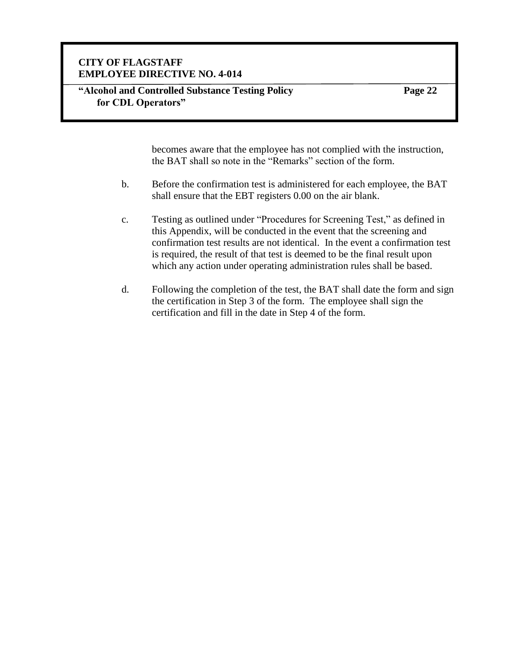#### **"Alcohol and Controlled Substance Testing Policy for CDL Operators"**

**Page 22**

becomes aware that the employee has not complied with the instruction, the BAT shall so note in the "Remarks" section of the form.

- b. Before the confirmation test is administered for each employee, the BAT shall ensure that the EBT registers 0.00 on the air blank.
- c. Testing as outlined under "Procedures for Screening Test," as defined in this Appendix, will be conducted in the event that the screening and confirmation test results are not identical. In the event a confirmation test is required, the result of that test is deemed to be the final result upon which any action under operating administration rules shall be based.
- d. Following the completion of the test, the BAT shall date the form and sign the certification in Step 3 of the form. The employee shall sign the certification and fill in the date in Step 4 of the form.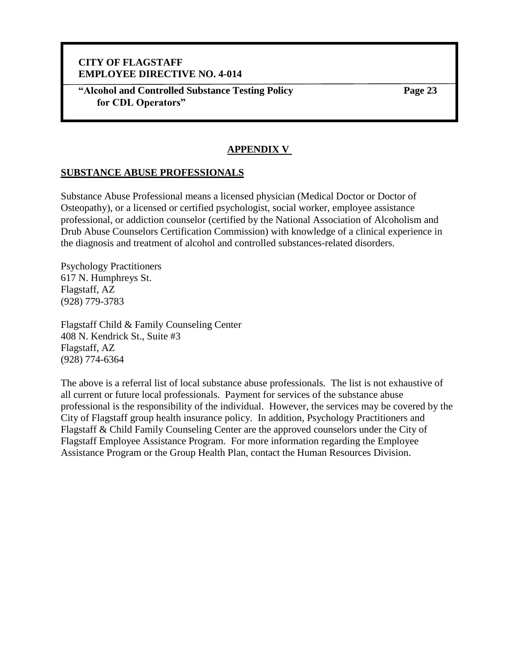**"Alcohol and Controlled Substance Testing Policy for CDL Operators"**

**Page 23**

#### **APPENDIX V**

#### **SUBSTANCE ABUSE PROFESSIONALS**

Substance Abuse Professional means a licensed physician (Medical Doctor or Doctor of Osteopathy), or a licensed or certified psychologist, social worker, employee assistance professional, or addiction counselor (certified by the National Association of Alcoholism and Drub Abuse Counselors Certification Commission) with knowledge of a clinical experience in the diagnosis and treatment of alcohol and controlled substances-related disorders.

Psychology Practitioners 617 N. Humphreys St. Flagstaff, AZ (928) 779-3783

Flagstaff Child & Family Counseling Center 408 N. Kendrick St., Suite #3 Flagstaff, AZ (928) 774-6364

The above is a referral list of local substance abuse professionals. The list is not exhaustive of all current or future local professionals. Payment for services of the substance abuse professional is the responsibility of the individual. However, the services may be covered by the City of Flagstaff group health insurance policy. In addition, Psychology Practitioners and Flagstaff & Child Family Counseling Center are the approved counselors under the City of Flagstaff Employee Assistance Program. For more information regarding the Employee Assistance Program or the Group Health Plan, contact the Human Resources Division.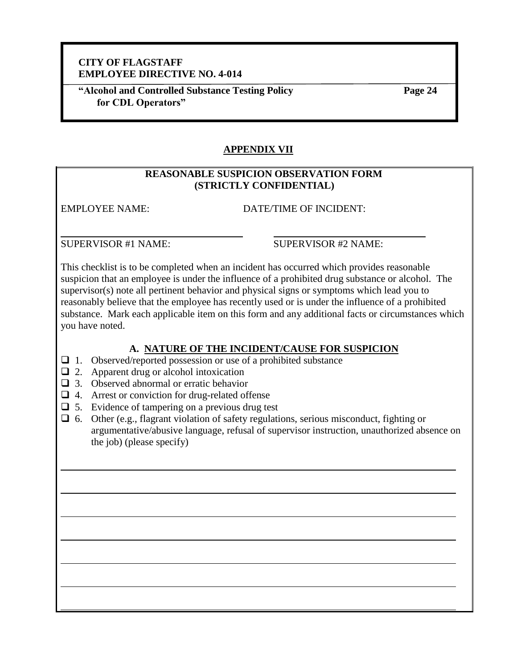**"Alcohol and Controlled Substance Testing Policy for CDL Operators"**

**Page 24**

# **APPENDIX VII**

#### **REASONABLE SUSPICION OBSERVATION FORM (STRICTLY CONFIDENTIAL)**

EMPLOYEE NAME: DATE/TIME OF INCIDENT:

SUPERVISOR #1 NAME: SUPERVISOR #2 NAME:

This checklist is to be completed when an incident has occurred which provides reasonable suspicion that an employee is under the influence of a prohibited drug substance or alcohol. The supervisor(s) note all pertinent behavior and physical signs or symptoms which lead you to reasonably believe that the employee has recently used or is under the influence of a prohibited substance. Mark each applicable item on this form and any additional facts or circumstances which you have noted.

# **A. NATURE OF THE INCIDENT/CAUSE FOR SUSPICION**

- ❑ 1. Observed/reported possession or use of a prohibited substance
- $\Box$  2. Apparent drug or alcohol intoxication
- ❑ 3. Observed abnormal or erratic behavior
- ❑ 4. Arrest or conviction for drug-related offense
- $\Box$  5. Evidence of tampering on a previous drug test
- ❑ 6. Other (e.g., flagrant violation of safety regulations, serious misconduct, fighting or argumentative/abusive language, refusal of supervisor instruction, unauthorized absence on the job) (please specify)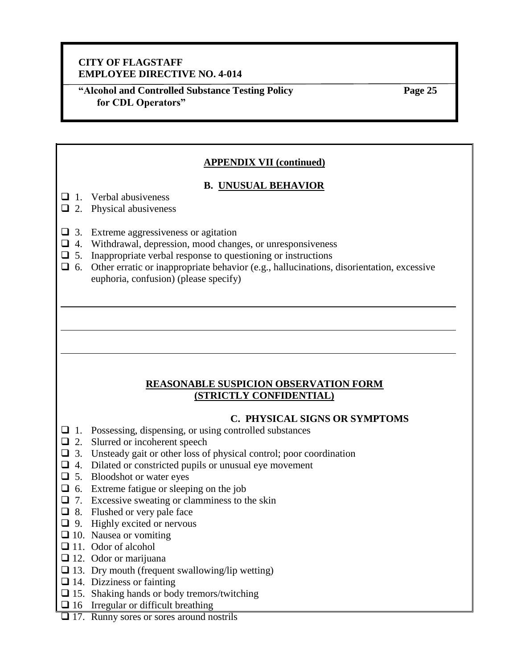**"Alcohol and Controlled Substance Testing Policy for CDL Operators"**

**Page 25**

## **APPENDIX VII (continued)**

#### **B. UNUSUAL BEHAVIOR**

- $\Box$  1. Verbal abusiveness
- $\Box$  2. Physical abusiveness
- ❑ 3. Extreme aggressiveness or agitation
- ❑ 4. Withdrawal, depression, mood changes, or unresponsiveness
- $\Box$  5. Inappropriate verbal response to questioning or instructions
- $\Box$  6. Other erratic or inappropriate behavior (e.g., hallucinations, disorientation, excessive euphoria, confusion) (please specify)

#### **REASONABLE SUSPICION OBSERVATION FORM (STRICTLY CONFIDENTIAL)**

#### **C. PHYSICAL SIGNS OR SYMPTOMS**

- ❑ 1. Possessing, dispensing, or using controlled substances
- ❑ 2. Slurred or incoherent speech
- ❑ 3. Unsteady gait or other loss of physical control; poor coordination
- $\Box$  4. Dilated or constricted pupils or unusual eye movement
- ❑ 5. Bloodshot or water eyes
- ❑ 6. Extreme fatigue or sleeping on the job
- $\Box$  7. Excessive sweating or clamminess to the skin
- ❑ 8. Flushed or very pale face
- $\Box$  9. Highly excited or nervous
- □ 10. Nausea or vomiting
- □ 11. Odor of alcohol
- □ 12. Odor or marijuana
- $\square$  13. Dry mouth (frequent swallowing/lip wetting)
- $\Box$  14. Dizziness or fainting
- $\square$  15. Shaking hands or body tremors/twitching
- $\Box$  16 Irregular or difficult breathing
- ❑ 17. Runny sores or sores around nostrils